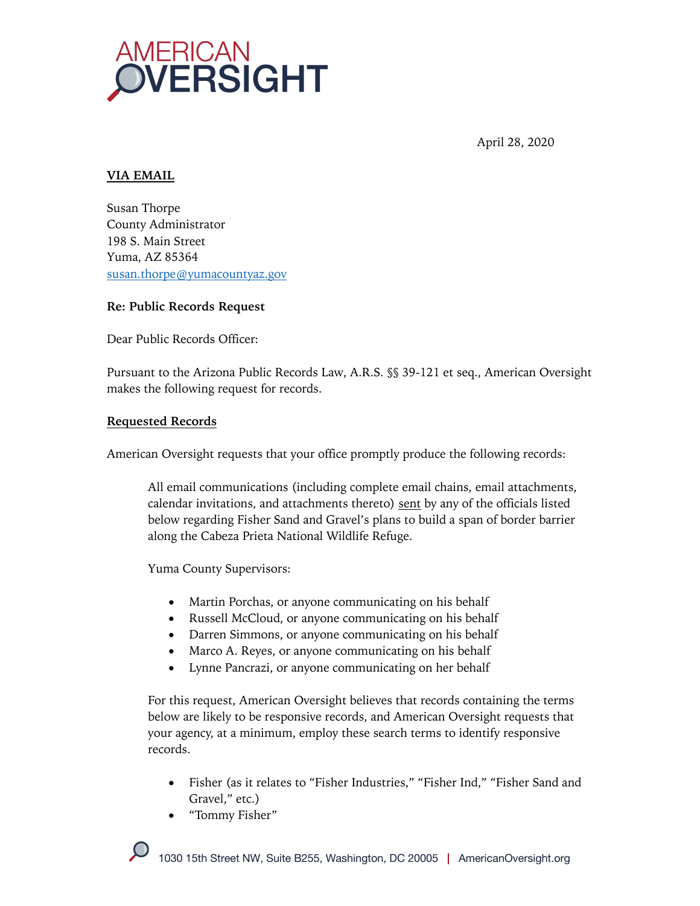

April 28, 2020

## **VIA EMAIL**

Susan Thorpe County Administrator 198 S. Main Street Yuma, AZ 85364 susan.thorpe@yumacountyaz.gov

### **Re: Public Records Request**

Dear Public Records Officer:

Pursuant to the Arizona Public Records Law, A.R.S. §§ 39-121 et seq., American Oversight makes the following request for records.

### **Requested Records**

American Oversight requests that your office promptly produce the following records:

All email communications (including complete email chains, email attachments, calendar invitations, and attachments thereto) sent by any of the officials listed below regarding Fisher Sand and Gravel's plans to build a span of border barrier along the Cabeza Prieta National Wildlife Refuge.

Yuma County Supervisors:

- Martin Porchas, or anyone communicating on his behalf
- Russell McCloud, or anyone communicating on his behalf
- Darren Simmons, or anyone communicating on his behalf
- Marco A. Reyes, or anyone communicating on his behalf
- Lynne Pancrazi, or anyone communicating on her behalf

For this request, American Oversight believes that records containing the terms below are likely to be responsive records, and American Oversight requests that your agency, at a minimum, employ these search terms to identify responsive records.

- Fisher (as it relates to "Fisher Industries," "Fisher Ind," "Fisher Sand and Gravel," etc.)
- "Tommy Fisher"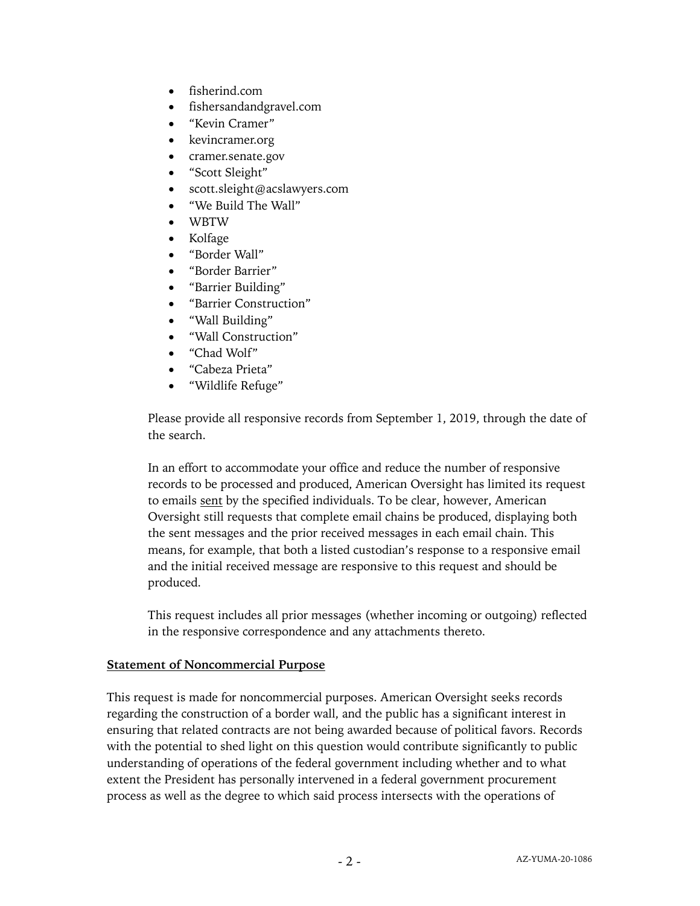- fisherind.com
- fishersandandgravel.com
- "Kevin Cramer"
- kevincramer.org
- cramer.senate.gov
- "Scott Sleight"
- scott.sleight@acslawyers.com
- "We Build The Wall"
- WBTW
- Kolfage
- "Border Wall"
- "Border Barrier"
- "Barrier Building"
- "Barrier Construction"
- "Wall Building"
- "Wall Construction"
- "Chad Wolf"
- "Cabeza Prieta"
- "Wildlife Refuge"

Please provide all responsive records from September 1, 2019, through the date of the search.

In an effort to accommodate your office and reduce the number of responsive records to be processed and produced, American Oversight has limited its request to emails sent by the specified individuals. To be clear, however, American Oversight still requests that complete email chains be produced, displaying both the sent messages and the prior received messages in each email chain. This means, for example, that both a listed custodian's response to a responsive email and the initial received message are responsive to this request and should be produced.

This request includes all prior messages (whether incoming or outgoing) reflected in the responsive correspondence and any attachments thereto.

#### **Statement of Noncommercial Purpose**

This request is made for noncommercial purposes. American Oversight seeks records regarding the construction of a border wall, and the public has a significant interest in ensuring that related contracts are not being awarded because of political favors. Records with the potential to shed light on this question would contribute significantly to public understanding of operations of the federal government including whether and to what extent the President has personally intervened in a federal government procurement process as well as the degree to which said process intersects with the operations of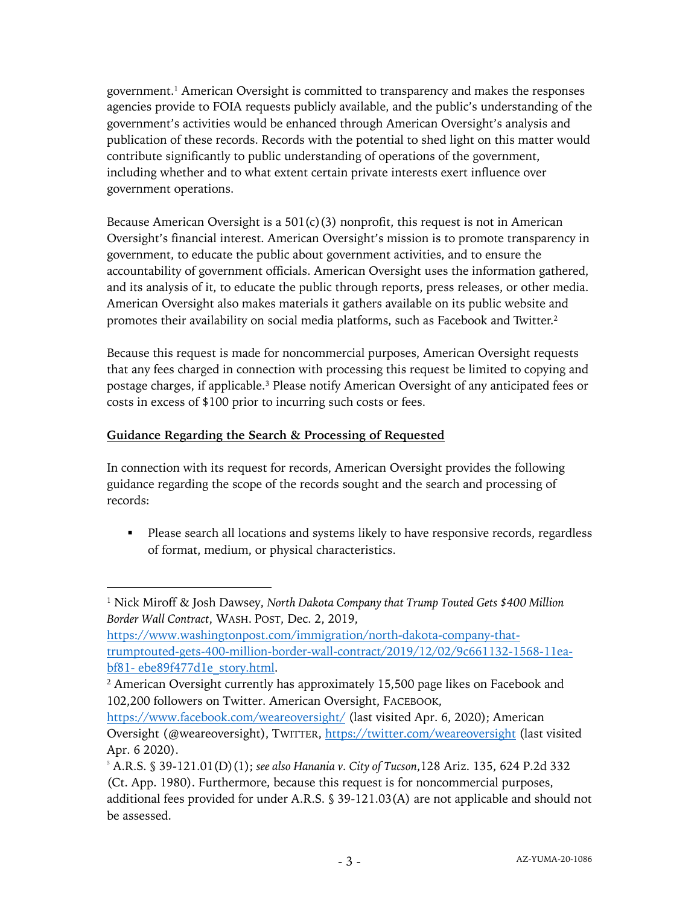government. <sup>1</sup> American Oversight is committed to transparency and makes the responses agencies provide to FOIA requests publicly available, and the public's understanding of the government's activities would be enhanced through American Oversight's analysis and publication of these records. Records with the potential to shed light on this matter would contribute significantly to public understanding of operations of the government, including whether and to what extent certain private interests exert influence over government operations.

Because American Oversight is a  $501(c)(3)$  nonprofit, this request is not in American Oversight's financial interest. American Oversight's mission is to promote transparency in government, to educate the public about government activities, and to ensure the accountability of government officials. American Oversight uses the information gathered, and its analysis of it, to educate the public through reports, press releases, or other media. American Oversight also makes materials it gathers available on its public website and promotes their availability on social media platforms, such as Facebook and Twitter.2

Because this request is made for noncommercial purposes, American Oversight requests that any fees charged in connection with processing this request be limited to copying and postage charges, if applicable.3 Please notify American Oversight of any anticipated fees or costs in excess of \$100 prior to incurring such costs or fees.

# **Guidance Regarding the Search & Processing of Requested**

In connection with its request for records, American Oversight provides the following guidance regarding the scope of the records sought and the search and processing of records:

• Please search all locations and systems likely to have responsive records, regardless of format, medium, or physical characteristics.

<sup>1</sup> Nick Miroff & Josh Dawsey, *North Dakota Company that Trump Touted Gets \$400 Million Border Wall Contract*, WASH. POST, Dec. 2, 2019,

https://www.washingtonpost.com/immigration/north-dakota-company-thattrumptouted-gets-400-million-border-wall-contract/2019/12/02/9c661132-1568-11eabf81- ebe89f477d1e\_story.html.

<sup>&</sup>lt;sup>2</sup> American Oversight currently has approximately 15,500 page likes on Facebook and 102,200 followers on Twitter. American Oversight, FACEBOOK,

https://www.facebook.com/weareoversight/ (last visited Apr. 6, 2020); American Oversight (@weareoversight), TWITTER, https://twitter.com/weareoversight (last visited Apr. 6 2020).

<sup>3</sup> A.R.S. § 39-121.01(D)(1); *see also Hanania v. City of Tucson*,128 Ariz. 135, 624 P.2d 332 (Ct. App. 1980). Furthermore, because this request is for noncommercial purposes, additional fees provided for under A.R.S. § 39-121.03(A) are not applicable and should not be assessed.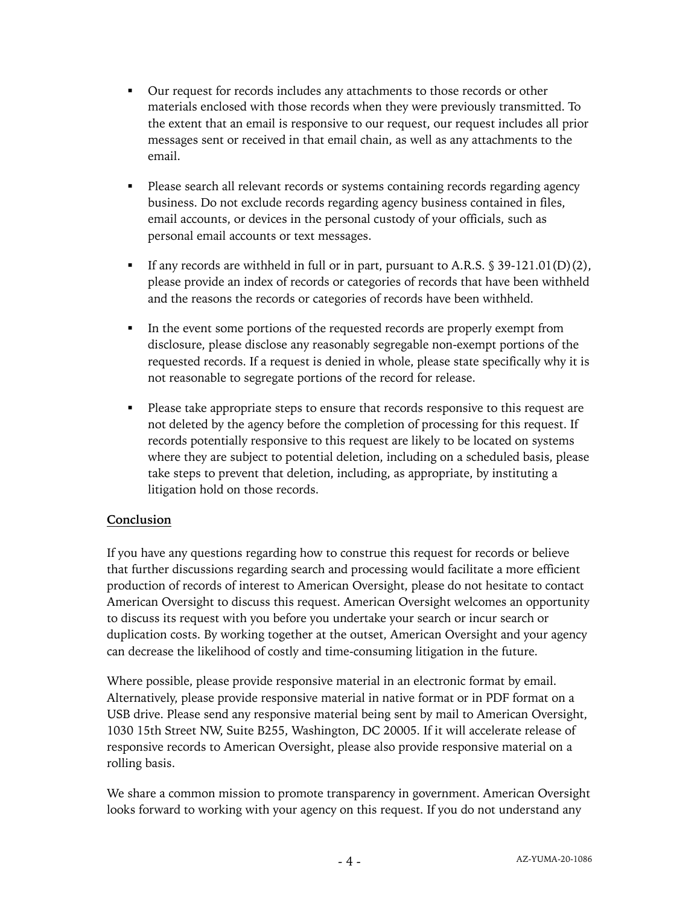- § Our request for records includes any attachments to those records or other materials enclosed with those records when they were previously transmitted. To the extent that an email is responsive to our request, our request includes all prior messages sent or received in that email chain, as well as any attachments to the email.
- Please search all relevant records or systems containing records regarding agency business. Do not exclude records regarding agency business contained in files, email accounts, or devices in the personal custody of your officials, such as personal email accounts or text messages.
- If any records are withheld in full or in part, pursuant to A.R.S.  $\S 39-121.01(D)(2)$ , please provide an index of records or categories of records that have been withheld and the reasons the records or categories of records have been withheld.
- In the event some portions of the requested records are properly exempt from disclosure, please disclose any reasonably segregable non-exempt portions of the requested records. If a request is denied in whole, please state specifically why it is not reasonable to segregate portions of the record for release.
- Please take appropriate steps to ensure that records responsive to this request are not deleted by the agency before the completion of processing for this request. If records potentially responsive to this request are likely to be located on systems where they are subject to potential deletion, including on a scheduled basis, please take steps to prevent that deletion, including, as appropriate, by instituting a litigation hold on those records.

# **Conclusion**

If you have any questions regarding how to construe this request for records or believe that further discussions regarding search and processing would facilitate a more efficient production of records of interest to American Oversight, please do not hesitate to contact American Oversight to discuss this request. American Oversight welcomes an opportunity to discuss its request with you before you undertake your search or incur search or duplication costs. By working together at the outset, American Oversight and your agency can decrease the likelihood of costly and time-consuming litigation in the future.

Where possible, please provide responsive material in an electronic format by email. Alternatively, please provide responsive material in native format or in PDF format on a USB drive. Please send any responsive material being sent by mail to American Oversight, 1030 15th Street NW, Suite B255, Washington, DC 20005. If it will accelerate release of responsive records to American Oversight, please also provide responsive material on a rolling basis.

We share a common mission to promote transparency in government. American Oversight looks forward to working with your agency on this request. If you do not understand any